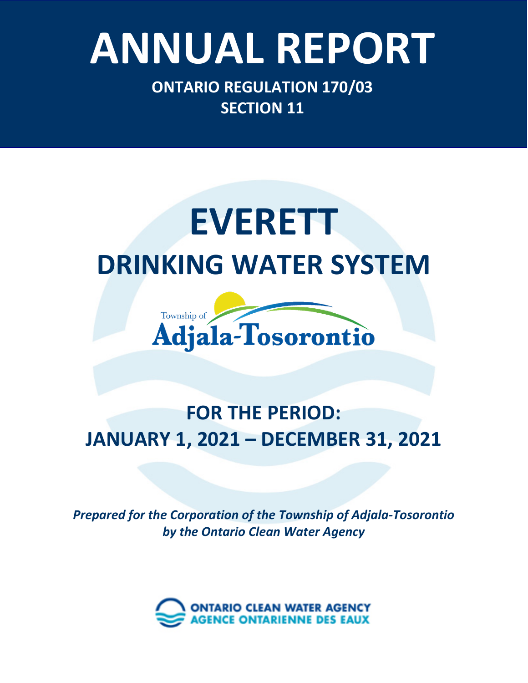## Ontario Clean Water Agency – *Minesing Well Supply System* **ANNUAL REPORT**

**ONTARIO REGULATION 170/03 SECTION 11**

## **EVERETT DRINKING WATER SYSTEM**



### **FOR THE PERIOD: JANUARY 1, 2021 – DECEMBER 31, 2021**

*Prepared for the Corporation of the Township of Adjala-Tosorontio by the Ontario Clean Water Agency*

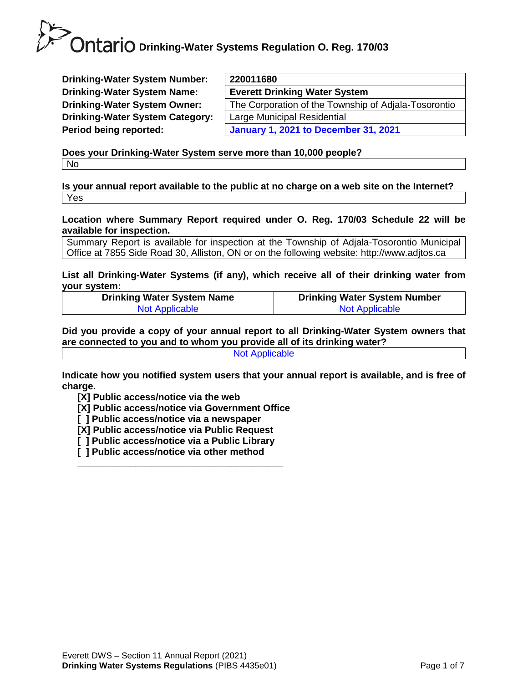**Drinking-Water System Number: Drinking-Water System Name: Drinking-Water System Owner: Drinking-Water System Category: Period being reported:** 

| 220011680                                            |
|------------------------------------------------------|
|                                                      |
| <b>Everett Drinking Water System</b>                 |
| The Corporation of the Township of Adjala-Tosorontio |
| Large Municipal Residential                          |
| <b>January 1, 2021 to December 31, 2021</b>          |
|                                                      |

**Does your Drinking-Water System serve more than 10,000 people?**  No

**Is your annual report available to the public at no charge on a web site on the Internet?**  Yes

**Location where Summary Report required under O. Reg. 170/03 Schedule 22 will be available for inspection.** 

Summary Report is available for inspection at the Township of Adjala-Tosorontio Municipal Office at 7855 Side Road 30, Alliston, ON or on the following website: http://www.adjtos.ca

**List all Drinking-Water Systems (if any), which receive all of their drinking water from your system:**

| <b>Drinking Water System Name</b> | <b>Drinking Water System Number</b> |
|-----------------------------------|-------------------------------------|
| <b>Not Applicable</b>             | <b>Not Applicable</b>               |

**Did you provide a copy of your annual report to all Drinking-Water System owners that are connected to you and to whom you provide all of its drinking water?**  Not Applicable

**Indicate how you notified system users that your annual report is available, and is free of charge.** 

**[X] Public access/notice via the web** 

**[X] Public access/notice via Government Office**

- **[ ] Public access/notice via a newspaper**
- **[X] Public access/notice via Public Request**
- **[ ] Public access/notice via a Public Library**

**\_\_\_\_\_\_\_\_\_\_\_\_\_\_\_\_\_\_\_\_\_\_\_\_\_\_\_\_\_\_\_\_\_\_\_\_\_\_\_**

**[ ] Public access/notice via other method**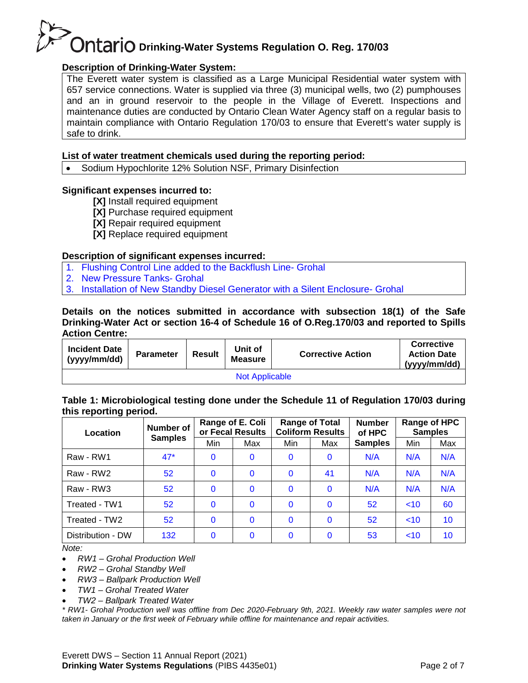#### **Description of Drinking-Water System:**

The Everett water system is classified as a Large Municipal Residential water system with 657 service connections. Water is supplied via three (3) municipal wells, two (2) pumphouses and an in ground reservoir to the people in the Village of Everett. Inspections and maintenance duties are conducted by Ontario Clean Water Agency staff on a regular basis to maintain compliance with Ontario Regulation 170/03 to ensure that Everett's water supply is safe to drink.

#### **List of water treatment chemicals used during the reporting period:**

• Sodium Hypochlorite 12% Solution NSF, Primary Disinfection

#### **Significant expenses incurred to:**

- **[X]** Install required equipment
- **[X]** Purchase required equipment
- **[X]** Repair required equipment
- **[X]** Replace required equipment

#### **Description of significant expenses incurred:**

- 1. Flushing Control Line added to the Backflush Line- Grohal
- 2. New Pressure Tanks- Grohal
- 3. Installation of New Standby Diesel Generator with a Silent Enclosure- Grohal

#### **Details on the notices submitted in accordance with subsection 18(1) of the Safe Drinking-Water Act or section 16-4 of Schedule 16 of O.Reg.170/03 and reported to Spills Action Centre:**

| <b>Incident Date</b><br>(yyyy/mm/dd) | <b>Parameter</b> | <b>Result</b> | Unit of<br><b>Measure</b> | <b>Corrective Action</b> | <b>Corrective</b><br><b>Action Date</b><br>(yyyy/mm/dd) |  |  |  |
|--------------------------------------|------------------|---------------|---------------------------|--------------------------|---------------------------------------------------------|--|--|--|
| <b>Not Applicable</b>                |                  |               |                           |                          |                                                         |  |  |  |

#### **Table 1: Microbiological testing done under the Schedule 11 of Regulation 170/03 during this reporting period.**

| - -<br>Location   | Number of       | Range of E. Coli<br>or Fecal Results |              | <b>Range of Total</b><br><b>Coliform Results</b> |          | <b>Number</b><br>of HPC | <b>Samples</b> | Range of HPC    |
|-------------------|-----------------|--------------------------------------|--------------|--------------------------------------------------|----------|-------------------------|----------------|-----------------|
|                   | <b>Samples</b>  | Min                                  | Max          | Min                                              | Max      | <b>Samples</b>          | Min            | Max             |
| Raw - RW1         | $47*$           | $\mathbf{0}$                         | $\Omega$     | $\mathbf{0}$                                     | $\Omega$ | N/A                     | N/A            | N/A             |
| Raw - RW2         | 52              | $\mathbf{0}$                         | 0            | $\mathbf{0}$                                     | 41       | N/A                     | N/A            | N/A             |
| Raw - RW3         | 52              | $\mathbf{0}$                         | $\mathbf{0}$ | $\mathbf{0}$                                     | $\Omega$ | N/A                     | N/A            | N/A             |
| Treated - TW1     | 52 <sub>2</sub> | $\Omega$                             | $\Omega$     | $\Omega$                                         | $\Omega$ | 52 <sub>2</sub>         | ~10            | 60              |
| Treated - TW2     | 52              | $\mathbf{0}$                         | $\mathbf{0}$ | $\mathbf{0}$                                     | $\Omega$ | 52                      | ~10            | 10 <sup>°</sup> |
| Distribution - DW | 132             | $\Omega$                             | $\Omega$     | $\mathbf{0}$                                     | $\Omega$ | 53                      | ~10            | 10              |

*Note:*

- *RW1 – Grohal Production Well*
- *RW2 – Grohal Standby Well*
- *RW3 – Ballpark Production Well*
- *TW1 – Grohal Treated Water*
- *TW2 – Ballpark Treated Water*

*\* RW1- Grohal Production well was offline from Dec 2020-February 9th, 2021. Weekly raw water samples were not taken in January or the first week of February while offline for maintenance and repair activities.*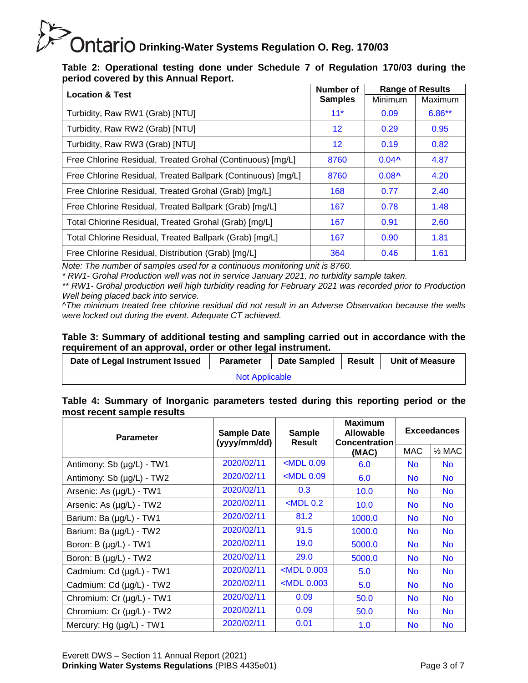| Table 2: Operational testing done under Schedule 7 of Regulation 170/03 during the |  |  |  |  |  |
|------------------------------------------------------------------------------------|--|--|--|--|--|
| period covered by this Annual Report.                                              |  |  |  |  |  |

| <b>Location &amp; Test</b>                                   | Number of         |                   | <b>Range of Results</b> |
|--------------------------------------------------------------|-------------------|-------------------|-------------------------|
|                                                              | <b>Samples</b>    | Minimum           | Maximum                 |
| Turbidity, Raw RW1 (Grab) [NTU]                              | $11*$             | 0.09              | $6.86**$                |
| Turbidity, Raw RW2 (Grab) [NTU]                              | $12 \overline{ }$ | 0.29              | 0.95                    |
| Turbidity, Raw RW3 (Grab) [NTU]                              | 12                | 0.19              | 0.82                    |
| Free Chlorine Residual, Treated Grohal (Continuous) [mg/L]   | 8760              | $0.04^{\text{A}}$ | 4.87                    |
| Free Chlorine Residual, Treated Ballpark (Continuous) [mg/L] | 8760              | $0.08^{\AA}$      | 4.20                    |
| Free Chlorine Residual, Treated Grohal (Grab) [mg/L]         | 168               | 0.77              | 2.40                    |
| Free Chlorine Residual, Treated Ballpark (Grab) [mg/L]       | 167               | 0.78              | 1.48                    |
| Total Chlorine Residual, Treated Grohal (Grab) [mg/L]        | 167               | 0.91              | 2.60                    |
| Total Chlorine Residual, Treated Ballpark (Grab) [mg/L]      | 167               | 0.90              | 1.81                    |
| Free Chlorine Residual, Distribution (Grab) [mg/L]           | 364               | 0.46              | 1.61                    |

*Note: The number of samples used for a continuous monitoring unit is 8760.*

*\* RW1- Grohal Production well was not in service January 2021, no turbidity sample taken.*

*\*\* RW1- Grohal production well high turbidity reading for February 2021 was recorded prior to Production Well being placed back into service.*

*^The minimum treated free chlorine residual did not result in an Adverse Observation because the wells were locked out during the event. Adequate CT achieved.*

#### **Table 3: Summary of additional testing and sampling carried out in accordance with the requirement of an approval, order or other legal instrument.**

| Date of Legal Instrument Issued | <b>Parameter</b> | <b>Date Sampled</b> | Result | <b>Unit of Measure</b> |  |  |  |
|---------------------------------|------------------|---------------------|--------|------------------------|--|--|--|
| <b>Not Applicable</b>           |                  |                     |        |                        |  |  |  |

**Table 4: Summary of Inorganic parameters tested during this reporting period or the most recent sample results**

| <b>Parameter</b>          | <b>Sample Date</b><br>(yyyy/mm/dd) | <b>Sample</b><br><b>Result</b> | <b>Maximum</b><br><b>Allowable</b><br><b>Concentration</b> | <b>Exceedances</b> |                   |  |
|---------------------------|------------------------------------|--------------------------------|------------------------------------------------------------|--------------------|-------------------|--|
|                           |                                    |                                | (MAC)                                                      | MAC                | $\frac{1}{2}$ MAC |  |
| Antimony: Sb (µg/L) - TW1 | 2020/02/11                         | $<$ MDL $0.09$                 | 6.0                                                        | <b>No</b>          | <b>No</b>         |  |
| Antimony: Sb (µg/L) - TW2 | 2020/02/11                         | $<$ MDL $0.09$                 | 6.0                                                        | <b>No</b>          | <b>No</b>         |  |
| Arsenic: As (µg/L) - TW1  | 2020/02/11                         | 0.3                            | 10.0                                                       | <b>No</b>          | <b>No</b>         |  |
| Arsenic: As (µg/L) - TW2  | 2020/02/11                         | $<$ MDL 0.2                    | 10.0                                                       | <b>No</b>          | <b>No</b>         |  |
| Barium: Ba (µg/L) - TW1   | 2020/02/11                         | 81.2                           | 1000.0                                                     | <b>No</b>          | <b>No</b>         |  |
| Barium: Ba (µg/L) - TW2   | 2020/02/11                         | 91.5                           | 1000.0                                                     | No.                | <b>No</b>         |  |
| Boron: B (µg/L) - TW1     | 2020/02/11                         | 19.0                           | 5000.0                                                     | <b>No</b>          | <b>No</b>         |  |
| Boron: B (µg/L) - TW2     | 2020/02/11                         | 29.0                           | 5000.0                                                     | <b>No</b>          | <b>No</b>         |  |
| Cadmium: Cd (µg/L) - TW1  | 2020/02/11                         | $<$ MDL 0.003                  | 5.0                                                        | <b>No</b>          | <b>No</b>         |  |
| Cadmium: Cd (µg/L) - TW2  | 2020/02/11                         | $<$ MDL 0.003                  | 5.0                                                        | <b>No</b>          | <b>No</b>         |  |
| Chromium: Cr (µg/L) - TW1 | 2020/02/11                         | 0.09                           | 50.0                                                       | <b>No</b>          | <b>No</b>         |  |
| Chromium: Cr (µg/L) - TW2 | 2020/02/11                         | 0.09                           | 50.0                                                       | <b>No</b>          | <b>No</b>         |  |
| Mercury: Hg (µg/L) - TW1  | 2020/02/11                         | 0.01                           | 1.0                                                        | <b>No</b>          | <b>No</b>         |  |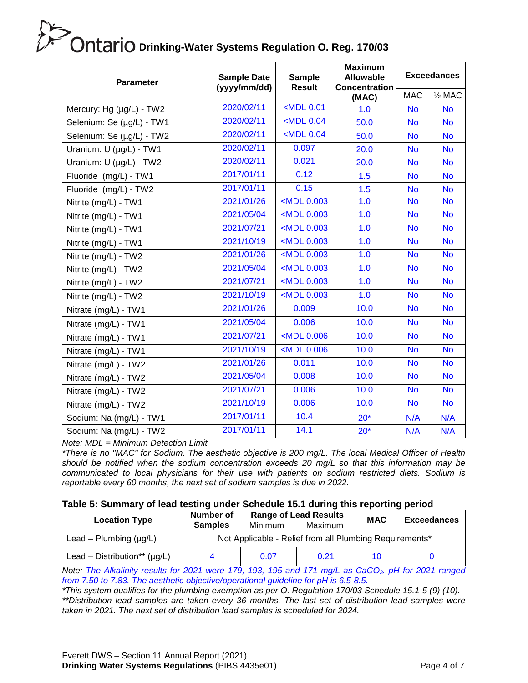| <b>Parameter</b>                                                                              | <b>Sample Date</b><br>(yyyy/mm/dd) | <b>Sample</b><br><b>Result</b>                                               | <b>Maximum</b><br><b>Allowable</b><br><b>Concentration</b> | <b>Exceedances</b> |                   |  |
|-----------------------------------------------------------------------------------------------|------------------------------------|------------------------------------------------------------------------------|------------------------------------------------------------|--------------------|-------------------|--|
|                                                                                               |                                    |                                                                              | (MAC)                                                      | <b>MAC</b>         | $\frac{1}{2}$ MAC |  |
| Mercury: Hg (µg/L) - TW2                                                                      | 2020/02/11                         | $MDL$ 0.01                                                                   | 1.0                                                        | <b>No</b>          | <b>No</b>         |  |
| Selenium: Se (µg/L) - TW1                                                                     | 2020/02/11                         | $<$ MDL 0.04                                                                 | 50.0                                                       | <b>No</b>          | <b>No</b>         |  |
| Selenium: Se (µg/L) - TW2                                                                     | 2020/02/11                         | $<$ MDL 0.04                                                                 | 50.0                                                       | <b>No</b>          | <b>No</b>         |  |
| Uranium: U (µg/L) - TW1                                                                       | 2020/02/11                         | 0.097                                                                        | 20.0                                                       | <b>No</b>          | <b>No</b>         |  |
| Uranium: U (µg/L) - TW2                                                                       | 2020/02/11                         | 0.021                                                                        | 20.0                                                       | <b>No</b>          | <b>No</b>         |  |
| Fluoride (mg/L) - TW1                                                                         | 2017/01/11                         | 0.12                                                                         | 1.5                                                        | <b>No</b>          | <b>No</b>         |  |
| Fluoride (mg/L) - TW2                                                                         | 2017/01/11                         | 0.15                                                                         | 1.5                                                        | <b>No</b>          | <b>No</b>         |  |
| Nitrite (mg/L) - TW1                                                                          | 2021/01/26                         | <mdl 0.003<="" td=""><td>1.0</td><td><b>No</b></td><td><b>No</b></td></mdl>  | 1.0                                                        | <b>No</b>          | <b>No</b>         |  |
| Nitrite (mg/L) - TW1                                                                          | 2021/05/04                         | <mdl 0.003<="" td=""><td>1.0</td><td><b>No</b></td><td><b>No</b></td></mdl>  | 1.0                                                        | <b>No</b>          | <b>No</b>         |  |
| Nitrite (mg/L) - TW1                                                                          | 2021/07/21                         | <mdl 0.003<="" td=""><td>1.0</td><td><b>No</b></td><td><b>No</b></td></mdl>  | 1.0                                                        | <b>No</b>          | <b>No</b>         |  |
| Nitrite (mg/L) - TW1                                                                          | 2021/10/19                         | <mdl 0.003<="" td=""><td>1.0</td><td><b>No</b></td><td><b>No</b></td></mdl>  | 1.0                                                        | <b>No</b>          | <b>No</b>         |  |
| Nitrite (mg/L) - TW2                                                                          | 2021/01/26                         | <mdl 0.003<="" td=""><td>1.0</td><td><b>No</b></td><td><b>No</b></td></mdl>  | 1.0                                                        | <b>No</b>          | <b>No</b>         |  |
| Nitrite (mg/L) - TW2                                                                          | 2021/05/04                         | <mdl 0.003<="" td=""><td>1.0</td><td><b>No</b></td><td><b>No</b></td></mdl>  | 1.0                                                        | <b>No</b>          | <b>No</b>         |  |
| Nitrite (mg/L) - TW2                                                                          | 2021/07/21                         | <mdl 0.003<="" td=""><td>1.0</td><td><b>No</b></td><td><b>No</b></td></mdl>  | 1.0                                                        | <b>No</b>          | <b>No</b>         |  |
| Nitrite (mg/L) - TW2                                                                          | 2021/10/19                         | <mdl 0.003<="" td=""><td>1.0</td><td><b>No</b></td><td><b>No</b></td></mdl>  | 1.0                                                        | <b>No</b>          | <b>No</b>         |  |
| Nitrate (mg/L) - TW1                                                                          | 2021/01/26                         | 0.009                                                                        | 10.0                                                       | <b>No</b>          | <b>No</b>         |  |
| Nitrate (mg/L) - TW1                                                                          | 2021/05/04                         | 0.006                                                                        | 10.0                                                       | <b>No</b>          | <b>No</b>         |  |
| Nitrate (mg/L) - TW1                                                                          | 2021/07/21                         | <mdl 0.006<="" td=""><td>10.0</td><td><b>No</b></td><td><b>No</b></td></mdl> | 10.0                                                       | <b>No</b>          | <b>No</b>         |  |
| Nitrate (mg/L) - TW1                                                                          | 2021/10/19                         | <mdl 0.006<="" td=""><td>10.0</td><td><b>No</b></td><td><b>No</b></td></mdl> | 10.0                                                       | <b>No</b>          | <b>No</b>         |  |
| Nitrate (mg/L) - TW2                                                                          | 2021/01/26                         | 0.011                                                                        | 10.0                                                       | <b>No</b>          | <b>No</b>         |  |
| Nitrate (mg/L) - TW2                                                                          | 2021/05/04                         | 0.008                                                                        | 10.0                                                       | <b>No</b>          | <b>No</b>         |  |
| Nitrate (mg/L) - TW2                                                                          | 2021/07/21                         | 0.006                                                                        | 10.0                                                       | <b>No</b>          | <b>No</b>         |  |
| Nitrate (mg/L) - TW2                                                                          | 2021/10/19                         | 0.006                                                                        | 10.0                                                       | <b>No</b>          | <b>No</b>         |  |
| Sodium: Na (mg/L) - TW1                                                                       | 2017/01/11                         | 10.4                                                                         | $20*$                                                      | N/A                | N/A               |  |
| Sodium: Na (mg/L) - TW2<br>$N = \{1, 1, 1\}$ $M_{\text{in}}$ is a particular in $\{1, 1, 1\}$ | 2017/01/11                         | 14.1                                                                         | $20*$                                                      | N/A                | N/A               |  |

*Note: MDL = Minimum Detection Limit*

*\*There is no "MAC" for Sodium. The aesthetic objective is 200 mg/L. The local Medical Officer of Health should be notified when the sodium concentration exceeds 20 mg/L so that this information may be communicated to local physicians for their use with patients on sodium restricted diets. Sodium is reportable every 60 months, the next set of sodium samples is due in 2022.*

#### **Table 5: Summary of lead testing under Schedule 15.1 during this reporting period**

|                                    | Number of      | <b>Range of Lead Results</b>                            |         | --<br><b>MAC</b> | <b>Exceedances</b> |  |  |  |
|------------------------------------|----------------|---------------------------------------------------------|---------|------------------|--------------------|--|--|--|
| <b>Location Type</b>               | <b>Samples</b> | Minimum                                                 | Maximum |                  |                    |  |  |  |
| Lead – Plumbing $(\mu g/L)$        |                | Not Applicable - Relief from all Plumbing Requirements* |         |                  |                    |  |  |  |
| Lead – Distribution** ( $\mu$ g/L) |                | 0.07                                                    | 0.21    | 10               |                    |  |  |  |

*Note: The Alkalinity results for 2021 were 179, 193, 195 and 171 mg/L as CaCO3. pH for 2021 ranged from 7.50 to 7.83. The aesthetic objective/operational guideline for pH is 6.5-8.5.*

*\*This system qualifies for the plumbing exemption as per O. Regulation 170/03 Schedule 15.1-5 (9) (10). \*\*Distribution lead samples are taken every 36 months. The last set of distribution lead samples were taken in 2021. The next set of distribution lead samples is scheduled for 2024.*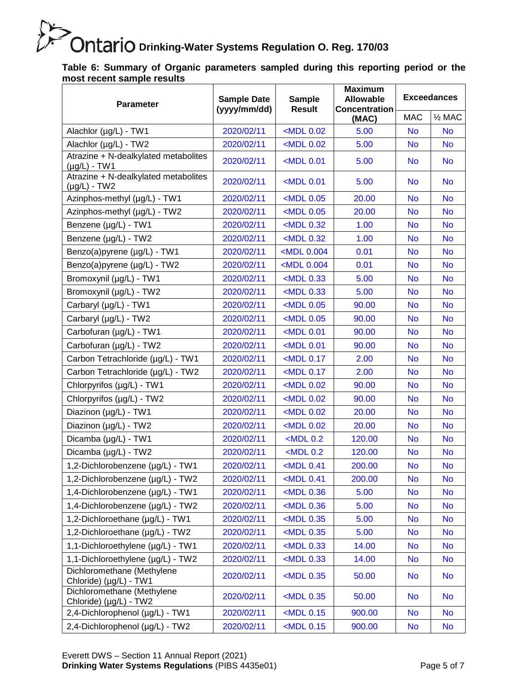**Table 6: Summary of Organic parameters sampled during this reporting period or the most recent sample results**

| <b>Parameter</b>                                          | <b>Sample Date</b><br>(yyyy/mm/dd) | <b>Sample</b><br><b>Result</b>                                               | <b>Maximum</b><br><b>Allowable</b><br><b>Concentration</b> | <b>Exceedances</b> |                   |  |
|-----------------------------------------------------------|------------------------------------|------------------------------------------------------------------------------|------------------------------------------------------------|--------------------|-------------------|--|
|                                                           |                                    |                                                                              | (MAC)                                                      | <b>MAC</b>         | $\frac{1}{2}$ MAC |  |
| Alachlor (µg/L) - TW1                                     | 2020/02/11                         | $<$ MDL $0.02$                                                               | 5.00                                                       | <b>No</b>          | <b>No</b>         |  |
| Alachlor (µg/L) - TW2                                     | 2020/02/11                         | $<$ MDL $0.02$                                                               | 5.00                                                       | <b>No</b>          | <b>No</b>         |  |
| Atrazine + N-dealkylated metabolites<br>$(\mu g/L)$ - TW1 | 2020/02/11                         | $<$ MDL 0.01                                                                 | 5.00                                                       | <b>No</b>          | <b>No</b>         |  |
| Atrazine + N-dealkylated metabolites<br>$(\mu g/L)$ - TW2 | 2020/02/11                         | $<$ MDL 0.01                                                                 | 5.00                                                       | <b>No</b>          | <b>No</b>         |  |
| Azinphos-methyl (µg/L) - TW1                              | 2020/02/11                         | <mdl 0.05<="" td=""><td>20.00</td><td><b>No</b></td><td><b>No</b></td></mdl> | 20.00                                                      | <b>No</b>          | <b>No</b>         |  |
| Azinphos-methyl (µg/L) - TW2                              | 2020/02/11                         | $<$ MDL $0.05$                                                               | 20.00                                                      | <b>No</b>          | <b>No</b>         |  |
| Benzene (µg/L) - TW1                                      | 2020/02/11                         | $<$ MDL 0.32                                                                 | 1.00                                                       | <b>No</b>          | <b>No</b>         |  |
| Benzene (µg/L) - TW2                                      | 2020/02/11                         | $<$ MDL 0.32                                                                 | 1.00                                                       | <b>No</b>          | <b>No</b>         |  |
| Benzo(a)pyrene (µg/L) - TW1                               | 2020/02/11                         | <mdl 0.004<="" td=""><td>0.01</td><td><b>No</b></td><td><b>No</b></td></mdl> | 0.01                                                       | <b>No</b>          | <b>No</b>         |  |
| Benzo(a)pyrene (µg/L) - TW2                               | 2020/02/11                         | <mdl 0.004<="" td=""><td>0.01</td><td><b>No</b></td><td><b>No</b></td></mdl> | 0.01                                                       | <b>No</b>          | <b>No</b>         |  |
| Bromoxynil (µg/L) - TW1                                   | 2020/02/11                         | $<$ MDL 0.33                                                                 | 5.00                                                       | <b>No</b>          | <b>No</b>         |  |
| Bromoxynil (µg/L) - TW2                                   | 2020/02/11                         | $<$ MDL 0.33                                                                 | 5.00                                                       | <b>No</b>          | <b>No</b>         |  |
| Carbaryl (µg/L) - TW1                                     | 2020/02/11                         | $<$ MDL 0.05                                                                 | 90.00                                                      | <b>No</b>          | <b>No</b>         |  |
| Carbaryl (µg/L) - TW2                                     | 2020/02/11                         | $<$ MDL $0.05$                                                               | 90.00                                                      | <b>No</b>          | <b>No</b>         |  |
| Carbofuran (µg/L) - TW1                                   | 2020/02/11                         | $<$ MDL 0.01                                                                 | 90.00                                                      | <b>No</b>          | <b>No</b>         |  |
| Carbofuran (µg/L) - TW2                                   | 2020/02/11                         | $<$ MDL 0.01                                                                 | 90.00                                                      | <b>No</b>          | <b>No</b>         |  |
| Carbon Tetrachloride (µg/L) - TW1                         | 2020/02/11                         | $<$ MDL 0.17                                                                 | 2.00                                                       | <b>No</b>          | <b>No</b>         |  |
| Carbon Tetrachloride (µg/L) - TW2                         | 2020/02/11                         | $<$ MDL 0.17                                                                 | 2.00                                                       | <b>No</b>          | <b>No</b>         |  |
| Chlorpyrifos (µg/L) - TW1                                 | 2020/02/11                         | $<$ MDL $0.02$                                                               | 90.00                                                      | <b>No</b>          | <b>No</b>         |  |
| Chlorpyrifos (µg/L) - TW2                                 | 2020/02/11                         | $<$ MDL $0.02$                                                               | 90.00                                                      | <b>No</b>          | <b>No</b>         |  |
| Diazinon (µg/L) - TW1                                     | 2020/02/11                         | $<$ MDL $0.02$                                                               | 20.00                                                      | <b>No</b>          | <b>No</b>         |  |
| Diazinon (µg/L) - TW2                                     | 2020/02/11                         | $<$ MDL 0.02                                                                 | 20.00                                                      | <b>No</b>          | <b>No</b>         |  |
| Dicamba (µg/L) - TW1                                      | 2020/02/11                         | $<$ MDL 0.2                                                                  | 120.00                                                     | <b>No</b>          | <b>No</b>         |  |
| Dicamba (µg/L) - TW2                                      | 2020/02/11                         | $<$ MDL 0.2                                                                  | 120.00                                                     | <b>No</b>          | <b>No</b>         |  |
| 1,2-Dichlorobenzene (µg/L) - TW1                          | 2020/02/11                         | $<$ MDL 0.41                                                                 | 200.00                                                     | <b>No</b>          | <b>No</b>         |  |
| 1,2-Dichlorobenzene (µg/L) - TW2                          | 2020/02/11                         | $<$ MDL 0.41                                                                 | 200.00                                                     | <b>No</b>          | <b>No</b>         |  |
| 1,4-Dichlorobenzene (µg/L) - TW1                          | 2020/02/11                         | $<$ MDL 0.36                                                                 | 5.00                                                       | <b>No</b>          | <b>No</b>         |  |
| 1,4-Dichlorobenzene (µg/L) - TW2                          | 2020/02/11                         | $<$ MDL 0.36                                                                 | 5.00                                                       | No                 | <b>No</b>         |  |
| 1,2-Dichloroethane (µg/L) - TW1                           | 2020/02/11                         | $MDL$ 0.35                                                                   | 5.00                                                       | <b>No</b>          | <b>No</b>         |  |
| 1,2-Dichloroethane (µg/L) - TW2                           | 2020/02/11                         | $<$ MDL 0.35                                                                 | 5.00                                                       | <b>No</b>          | <b>No</b>         |  |
| 1,1-Dichloroethylene (µg/L) - TW1                         | 2020/02/11                         | $<$ MDL 0.33                                                                 | 14.00                                                      | <b>No</b>          | <b>No</b>         |  |
| 1,1-Dichloroethylene (µg/L) - TW2                         | 2020/02/11                         | $<$ MDL 0.33                                                                 | 14.00                                                      | <b>No</b>          | <b>No</b>         |  |
| Dichloromethane (Methylene<br>Chloride) (µg/L) - TW1      | 2020/02/11                         | <mdl 0.35<="" td=""><td>50.00</td><td><b>No</b></td><td><b>No</b></td></mdl> | 50.00                                                      | <b>No</b>          | <b>No</b>         |  |
| Dichloromethane (Methylene<br>Chloride) (µg/L) - TW2      | 2020/02/11                         | <mdl 0.35<="" td=""><td>50.00</td><td><b>No</b></td><td><b>No</b></td></mdl> | 50.00                                                      | <b>No</b>          | <b>No</b>         |  |
| 2,4-Dichlorophenol (µg/L) - TW1                           | 2020/02/11                         | $<$ MDL 0.15                                                                 | 900.00                                                     | <b>No</b>          | <b>No</b>         |  |
| 2,4-Dichlorophenol (µg/L) - TW2                           | 2020/02/11                         | $<$ MDL 0.15                                                                 | 900.00                                                     | <b>No</b>          | <b>No</b>         |  |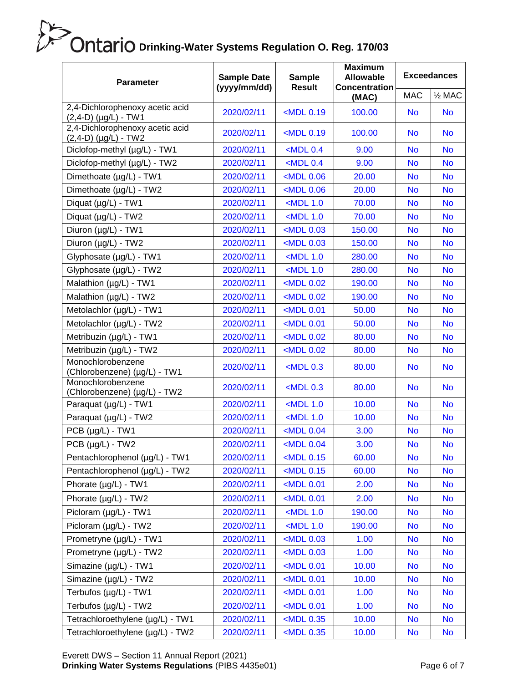| <b>Parameter</b>                                          | <b>Sample Date</b><br>(yyyy/mm/dd) | <b>Sample</b><br><b>Result</b>                                                | <b>Maximum</b><br><b>Allowable</b><br><b>Concentration</b> | <b>Exceedances</b> |                   |  |
|-----------------------------------------------------------|------------------------------------|-------------------------------------------------------------------------------|------------------------------------------------------------|--------------------|-------------------|--|
|                                                           |                                    |                                                                               | (MAC)                                                      | <b>MAC</b>         | $\frac{1}{2}$ MAC |  |
| 2,4-Dichlorophenoxy acetic acid<br>$(2,4-D)$ (µg/L) - TW1 | 2020/02/11                         | <mdl 0.19<="" td=""><td>100.00</td><td><b>No</b></td><td><b>No</b></td></mdl> | 100.00                                                     | <b>No</b>          | <b>No</b>         |  |
| 2,4-Dichlorophenoxy acetic acid<br>$(2,4-D)$ (µg/L) - TW2 | 2020/02/11                         | <mdl 0.19<="" td=""><td>100.00</td><td><b>No</b></td><td><b>No</b></td></mdl> | 100.00                                                     | <b>No</b>          | <b>No</b>         |  |
| Diclofop-methyl (µg/L) - TW1                              | 2020/02/11                         | $<$ MDL 0.4                                                                   | 9.00                                                       | <b>No</b>          | <b>No</b>         |  |
| Diclofop-methyl (µg/L) - TW2                              | 2020/02/11                         | $<$ MDL 0.4                                                                   | 9.00                                                       | <b>No</b>          | <b>No</b>         |  |
| Dimethoate (µg/L) - TW1                                   | 2020/02/11                         | <mdl 0.06<="" td=""><td>20.00</td><td><b>No</b></td><td><b>No</b></td></mdl>  | 20.00                                                      | <b>No</b>          | <b>No</b>         |  |
| Dimethoate (µg/L) - TW2                                   | 2020/02/11                         | $<$ MDL $0.06$                                                                | 20.00                                                      | <b>No</b>          | <b>No</b>         |  |
| Diquat (µg/L) - TW1                                       | 2020/02/11                         | $<$ MDL 1.0                                                                   | 70.00                                                      | <b>No</b>          | <b>No</b>         |  |
| Diquat (µg/L) - TW2                                       | 2020/02/11                         | $<$ MDL 1.0                                                                   | 70.00                                                      | <b>No</b>          | <b>No</b>         |  |
| Diuron (µg/L) - TW1                                       | 2020/02/11                         | $<$ MDL $0.03$                                                                | 150.00                                                     | <b>No</b>          | <b>No</b>         |  |
| Diuron (µg/L) - TW2                                       | 2020/02/11                         | <mdl 0.03<="" td=""><td>150.00</td><td><b>No</b></td><td><b>No</b></td></mdl> | 150.00                                                     | <b>No</b>          | <b>No</b>         |  |
| Glyphosate (µg/L) - TW1                                   | 2020/02/11                         | $<$ MDL 1.0                                                                   | 280.00                                                     | <b>No</b>          | <b>No</b>         |  |
| Glyphosate (µg/L) - TW2                                   | 2020/02/11                         | $<$ MDL 1.0                                                                   | 280.00                                                     | <b>No</b>          | <b>No</b>         |  |
| Malathion (µg/L) - TW1                                    | 2020/02/11                         | <mdl 0.02<="" td=""><td>190.00</td><td><b>No</b></td><td><b>No</b></td></mdl> | 190.00                                                     | <b>No</b>          | <b>No</b>         |  |
| Malathion (µg/L) - TW2                                    | 2020/02/11                         | $<$ MDL $0.02$                                                                | 190.00                                                     | <b>No</b>          | <b>No</b>         |  |
| Metolachlor (µg/L) - TW1                                  | 2020/02/11                         | $<$ MDL $0.01$                                                                | 50.00                                                      | <b>No</b>          | <b>No</b>         |  |
| Metolachlor (µg/L) - TW2                                  | 2020/02/11                         | <mdl 0.01<="" td=""><td>50.00</td><td><b>No</b></td><td><b>No</b></td></mdl>  | 50.00                                                      | <b>No</b>          | <b>No</b>         |  |
| Metribuzin (µg/L) - TW1                                   | 2020/02/11                         | <mdl 0.02<="" td=""><td>80.00</td><td><b>No</b></td><td><b>No</b></td></mdl>  | 80.00                                                      | <b>No</b>          | <b>No</b>         |  |
| Metribuzin (µg/L) - TW2                                   | 2020/02/11                         | <mdl 0.02<="" td=""><td>80.00</td><td><b>No</b></td><td><b>No</b></td></mdl>  | 80.00                                                      | <b>No</b>          | <b>No</b>         |  |
| Monochlorobenzene<br>(Chlorobenzene) (µg/L) - TW1         | 2020/02/11                         | $<$ MDL 0.3                                                                   | 80.00                                                      | <b>No</b>          | <b>No</b>         |  |
| Monochlorobenzene<br>(Chlorobenzene) (µg/L) - TW2         | 2020/02/11                         | $<$ MDL 0.3                                                                   | 80.00                                                      | <b>No</b>          | <b>No</b>         |  |
| Paraquat (µg/L) - TW1                                     | 2020/02/11                         | $<$ MDL 1.0                                                                   | 10.00                                                      | <b>No</b>          | <b>No</b>         |  |
| Paraquat (µg/L) - TW2                                     | 2020/02/11                         | $<$ MDL 1.0                                                                   | 10.00                                                      | <b>No</b>          | <b>No</b>         |  |
| $PCB (µg/L) - TW1$                                        | 2020/02/11                         | $<$ MDL $0.04$                                                                | 3.00                                                       | <b>No</b>          | <b>No</b>         |  |
| PCB (µg/L) - TW2                                          | 2020/02/11                         | $<$ MDL $0.04$                                                                | 3.00                                                       | <b>No</b>          | <b>No</b>         |  |
| Pentachlorophenol (µg/L) - TW1                            | 2020/02/11                         | <mdl 0.15<="" td=""><td>60.00</td><td><b>No</b></td><td><b>No</b></td></mdl>  | 60.00                                                      | <b>No</b>          | <b>No</b>         |  |
| Pentachlorophenol (µg/L) - TW2                            | 2020/02/11                         | $<$ MDL 0.15                                                                  | 60.00                                                      | <b>No</b>          | <b>No</b>         |  |
| Phorate (µg/L) - TW1                                      | 2020/02/11                         | <mdl 0.01<="" td=""><td>2.00</td><td><b>No</b></td><td><b>No</b></td></mdl>   | 2.00                                                       | <b>No</b>          | <b>No</b>         |  |
| Phorate (µg/L) - TW2                                      | 2020/02/11                         | <mdl 0.01<="" td=""><td>2.00</td><td><b>No</b></td><td><b>No</b></td></mdl>   | 2.00                                                       | <b>No</b>          | <b>No</b>         |  |
| Picloram (µg/L) - TW1                                     | 2020/02/11                         | $<$ MDL 1.0                                                                   | 190.00                                                     | <b>No</b>          | <b>No</b>         |  |
| Picloram (µg/L) - TW2                                     | 2020/02/11                         | $<$ MDL 1.0                                                                   | 190.00                                                     | No                 | <b>No</b>         |  |
| Prometryne (µg/L) - TW1                                   | 2020/02/11                         | <mdl 0.03<="" td=""><td>1.00</td><td><b>No</b></td><td><b>No</b></td></mdl>   | 1.00                                                       | <b>No</b>          | <b>No</b>         |  |
| Prometryne (µg/L) - TW2                                   | 2020/02/11                         | <mdl 0.03<="" td=""><td>1.00</td><td><b>No</b></td><td><b>No</b></td></mdl>   | 1.00                                                       | <b>No</b>          | <b>No</b>         |  |
| Simazine (µg/L) - TW1                                     | 2020/02/11                         | $MDL$ 0.01                                                                    | 10.00                                                      | <b>No</b>          | <b>No</b>         |  |
| Simazine (µg/L) - TW2                                     | 2020/02/11                         | <mdl 0.01<="" td=""><td>10.00</td><td><b>No</b></td><td><b>No</b></td></mdl>  | 10.00                                                      | <b>No</b>          | <b>No</b>         |  |
| Terbufos (µg/L) - TW1                                     | 2020/02/11                         | $MDL$ 0.01                                                                    | 1.00                                                       | <b>No</b>          | <b>No</b>         |  |
| Terbufos (µg/L) - TW2                                     | 2020/02/11                         | <mdl 0.01<="" td=""><td>1.00</td><td><b>No</b></td><td><b>No</b></td></mdl>   | 1.00                                                       | <b>No</b>          | <b>No</b>         |  |
| Tetrachloroethylene (µg/L) - TW1                          | 2020/02/11                         | <mdl 0.35<="" td=""><td>10.00</td><td><b>No</b></td><td><b>No</b></td></mdl>  | 10.00                                                      | <b>No</b>          | <b>No</b>         |  |
| Tetrachloroethylene (µg/L) - TW2                          | 2020/02/11                         | <mdl 0.35<="" td=""><td>10.00</td><td><b>No</b></td><td><b>No</b></td></mdl>  | 10.00                                                      | <b>No</b>          | <b>No</b>         |  |